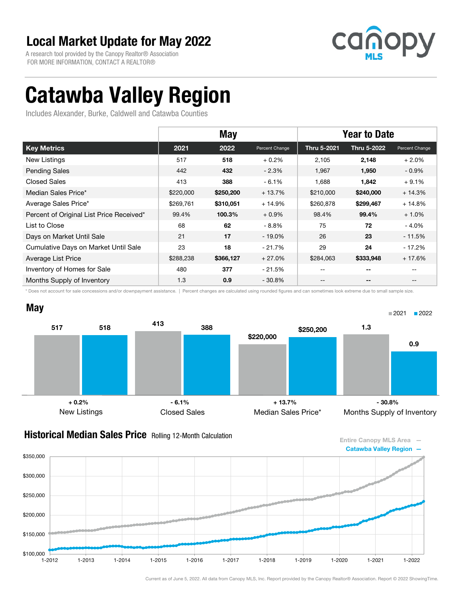A research tool provided by the Canopy Realtor® Association FOR MORE INFORMATION, CONTACT A REALTOR®



0.9

# Catawba Valley Region

Includes Alexander, Burke, Caldwell and Catawba Counties

|                                          | <b>May</b> |           |                | <b>Year to Date</b> |             |                |
|------------------------------------------|------------|-----------|----------------|---------------------|-------------|----------------|
| <b>Key Metrics</b>                       | 2021       | 2022      | Percent Change | Thru 5-2021         | Thru 5-2022 | Percent Change |
| New Listings                             | 517        | 518       | $+0.2%$        | 2,105               | 2,148       | $+2.0%$        |
| <b>Pending Sales</b>                     | 442        | 432       | $-2.3%$        | 1,967               | 1,950       | $-0.9%$        |
| Closed Sales                             | 413        | 388       | $-6.1%$        | 1,688               | 1,842       | $+9.1%$        |
| Median Sales Price*                      | \$220,000  | \$250,200 | $+13.7%$       | \$210,000           | \$240,000   | $+14.3%$       |
| Average Sales Price*                     | \$269,761  | \$310,051 | $+14.9%$       | \$260,878           | \$299,467   | + 14.8%        |
| Percent of Original List Price Received* | 99.4%      | 100.3%    | $+0.9%$        | 98.4%               | 99.4%       | $+1.0%$        |
| List to Close                            | 68         | 62        | $-8.8\%$       | 75                  | 72          | $-4.0%$        |
| Days on Market Until Sale                | 21         | 17        | $-19.0\%$      | 26                  | 23          | - 11.5%        |
| Cumulative Days on Market Until Sale     | 23         | 18        | $-21.7%$       | 29                  | 24          | - 17.2%        |
| Average List Price                       | \$288,238  | \$366,127 | $+27.0%$       | \$284,063           | \$333,948   | $+17.6%$       |
| Inventory of Homes for Sale              | 480        | 377       | - 21.5%        | --                  | --          |                |
| Months Supply of Inventory               | 1.3        | 0.9       | $-30.8%$       | --                  | --          |                |

\* Does not account for sale concessions and/or downpayment assistance. | Percent changes are calculated using rounded figures and can sometimes look extreme due to small sample size.





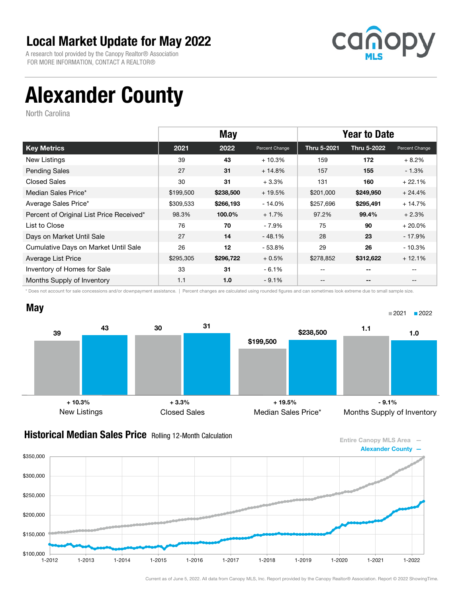A research tool provided by the Canopy Realtor® Association FOR MORE INFORMATION, CONTACT A REALTOR®



# Alexander County

North Carolina

|                                          |           | <b>May</b> |                |             |                          | <b>Year to Date</b> |  |
|------------------------------------------|-----------|------------|----------------|-------------|--------------------------|---------------------|--|
| <b>Key Metrics</b>                       | 2021      | 2022       | Percent Change | Thru 5-2021 | Thru 5-2022              | Percent Change      |  |
| New Listings                             | 39        | 43         | $+10.3%$       | 159         | 172                      | $+8.2%$             |  |
| <b>Pending Sales</b>                     | 27        | 31         | $+14.8%$       | 157         | 155                      | $-1.3\%$            |  |
| Closed Sales                             | 30        | 31         | $+3.3%$        | 131         | 160                      | $+22.1%$            |  |
| Median Sales Price*                      | \$199,500 | \$238,500  | $+19.5%$       | \$201,000   | \$249,950                | $+24.4%$            |  |
| Average Sales Price*                     | \$309,533 | \$266,193  | - 14.0%        | \$257,696   | \$295,491                | $+14.7%$            |  |
| Percent of Original List Price Received* | 98.3%     | 100.0%     | $+1.7%$        | 97.2%       | 99.4%                    | $+2.3%$             |  |
| List to Close                            | 76        | 70         | - 7.9%         | 75          | 90                       | $+20.0%$            |  |
| Days on Market Until Sale                | 27        | 14         | $-48.1%$       | 28          | 23                       | - 17.9%             |  |
| Cumulative Days on Market Until Sale     | 26        | 12         | - 53.8%        | 29          | 26                       | $-10.3%$            |  |
| Average List Price                       | \$295,305 | \$296,722  | $+0.5%$        | \$278,852   | \$312,622                | $+12.1%$            |  |
| Inventory of Homes for Sale              | 33        | 31         | $-6.1%$        | $- -$       | $-$                      | $-$                 |  |
| Months Supply of Inventory               | 1.1       | 1.0        | $-9.1%$        | --          | $\overline{\phantom{a}}$ | $\qquad \qquad -$   |  |

\* Does not account for sale concessions and/or downpayment assistance. | Percent changes are calculated using rounded figures and can sometimes look extreme due to small sample size.



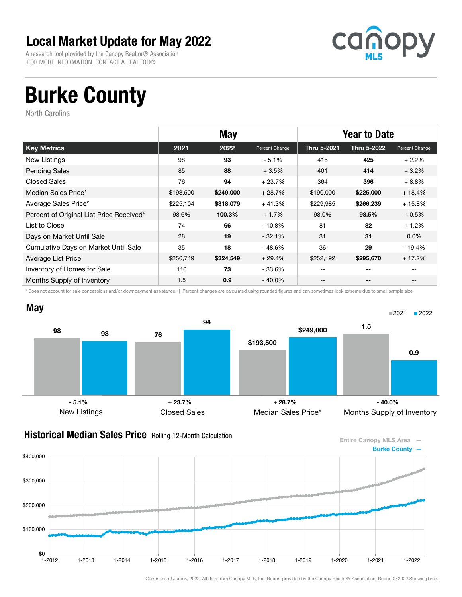A research tool provided by the Canopy Realtor® Association FOR MORE INFORMATION, CONTACT A REALTOR®



# Burke County

North Carolina

|                                          |           | <b>May</b><br><b>Year to Date</b> |                |             |             |                   |
|------------------------------------------|-----------|-----------------------------------|----------------|-------------|-------------|-------------------|
| <b>Key Metrics</b>                       | 2021      | 2022                              | Percent Change | Thru 5-2021 | Thru 5-2022 | Percent Change    |
| New Listings                             | 98        | 93                                | $-5.1%$        | 416         | 425         | $+2.2%$           |
| <b>Pending Sales</b>                     | 85        | 88                                | $+3.5%$        | 401         | 414         | $+3.2%$           |
| <b>Closed Sales</b>                      | 76        | 94                                | $+23.7%$       | 364         | 396         | $+8.8%$           |
| Median Sales Price*                      | \$193,500 | \$249,000                         | $+28.7%$       | \$190,000   | \$225,000   | $+18.4%$          |
| Average Sales Price*                     | \$225,104 | \$318,079                         | $+41.3%$       | \$229,985   | \$266,239   | $+15.8%$          |
| Percent of Original List Price Received* | 98.6%     | 100.3%                            | $+1.7%$        | 98.0%       | 98.5%       | $+0.5%$           |
| List to Close                            | 74        | 66                                | $-10.8\%$      | 81          | 82          | $+1.2%$           |
| Days on Market Until Sale                | 28        | 19                                | $-32.1%$       | 31          | 31          | $0.0\%$           |
| Cumulative Days on Market Until Sale     | 35        | 18                                | - 48.6%        | 36          | 29          | $-19.4%$          |
| Average List Price                       | \$250,749 | \$324,549                         | $+29.4%$       | \$252,192   | \$295,670   | $+17.2%$          |
| Inventory of Homes for Sale              | 110       | 73                                | - 33.6%        | $- -$       | $-$         | $- -$             |
| Months Supply of Inventory               | 1.5       | 0.9                               | - 40.0%        | --          | --          | $\qquad \qquad -$ |

\* Does not account for sale concessions and/or downpayment assistance. | Percent changes are calculated using rounded figures and can sometimes look extreme due to small sample size.



### **Historical Median Sales Price** Rolling 12-Month Calculation

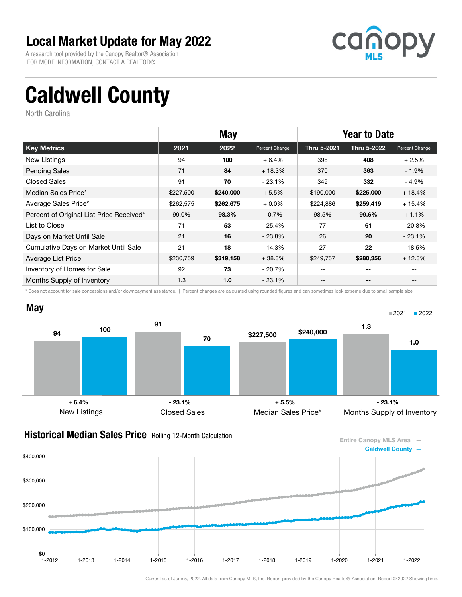A research tool provided by the Canopy Realtor® Association FOR MORE INFORMATION, CONTACT A REALTOR®



# Caldwell County

North Carolina

|                                          | <b>May</b> |           |                |             | <b>Year to Date</b>      |                   |  |
|------------------------------------------|------------|-----------|----------------|-------------|--------------------------|-------------------|--|
| <b>Key Metrics</b>                       | 2021       | 2022      | Percent Change | Thru 5-2021 | Thru 5-2022              | Percent Change    |  |
| New Listings                             | 94         | 100       | $+6.4%$        | 398         | 408                      | $+2.5%$           |  |
| <b>Pending Sales</b>                     | 71         | 84        | $+18.3%$       | 370         | 363                      | $-1.9\%$          |  |
| Closed Sales                             | 91         | 70        | $-23.1%$       | 349         | 332                      | - 4.9%            |  |
| Median Sales Price*                      | \$227,500  | \$240,000 | $+5.5%$        | \$190,000   | \$225,000                | $+18.4%$          |  |
| Average Sales Price*                     | \$262,575  | \$262,675 | $+0.0\%$       | \$224,886   | \$259,419                | $+15.4%$          |  |
| Percent of Original List Price Received* | 99.0%      | 98.3%     | $-0.7%$        | 98.5%       | 99.6%                    | $+1.1%$           |  |
| List to Close                            | 71         | 53        | - 25.4%        | 77          | 61                       | - 20.8%           |  |
| Days on Market Until Sale                | 21         | 16        | $-23.8\%$      | 26          | 20                       | $-23.1%$          |  |
| Cumulative Days on Market Until Sale     | 21         | 18        | - 14.3%        | 27          | 22                       | $-18.5%$          |  |
| Average List Price                       | \$230,759  | \$319,158 | $+38.3%$       | \$249,757   | \$280,356                | $+12.3%$          |  |
| Inventory of Homes for Sale              | 92         | 73        | - 20.7%        | $- -$       | $-$                      |                   |  |
| Months Supply of Inventory               | 1.3        | 1.0       | $-23.1\%$      | --          | $\overline{\phantom{a}}$ | $\qquad \qquad -$ |  |

\* Does not account for sale concessions and/or downpayment assistance. | Percent changes are calculated using rounded figures and can sometimes look extreme due to small sample size.



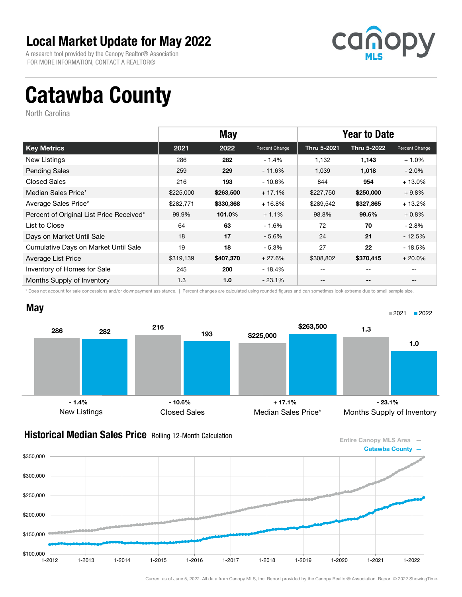A research tool provided by the Canopy Realtor® Association FOR MORE INFORMATION, CONTACT A REALTOR®



# Catawba County

North Carolina

|                                          | <b>May</b> |           |                | <b>Year to Date</b> |                          |                   |
|------------------------------------------|------------|-----------|----------------|---------------------|--------------------------|-------------------|
| <b>Key Metrics</b>                       | 2021       | 2022      | Percent Change | Thru 5-2021         | Thru 5-2022              | Percent Change    |
| New Listings                             | 286        | 282       | $-1.4%$        | 1,132               | 1,143                    | $+1.0%$           |
| <b>Pending Sales</b>                     | 259        | 229       | $-11.6%$       | 1,039               | 1,018                    | $-2.0\%$          |
| Closed Sales                             | 216        | 193       | - 10.6%        | 844                 | 954                      | $+13.0%$          |
| Median Sales Price*                      | \$225,000  | \$263,500 | $+17.1%$       | \$227,750           | \$250,000                | $+9.8%$           |
| Average Sales Price*                     | \$282,771  | \$330,368 | $+16.8%$       | \$289,542           | \$327,865                | $+13.2%$          |
| Percent of Original List Price Received* | 99.9%      | 101.0%    | $+1.1%$        | 98.8%               | 99.6%                    | $+0.8%$           |
| List to Close                            | 64         | 63        | $-1.6%$        | 72                  | 70                       | - 2.8%            |
| Days on Market Until Sale                | 18         | 17        | $-5.6%$        | 24                  | 21                       | $-12.5%$          |
| Cumulative Days on Market Until Sale     | 19         | 18        | $-5.3%$        | 27                  | 22                       | - 18.5%           |
| Average List Price                       | \$319,139  | \$407,370 | $+27.6%$       | \$308,802           | \$370,415                | $+20.0%$          |
| Inventory of Homes for Sale              | 245        | 200       | - 18.4%        | $- -$               | $-$                      | $- -$             |
| Months Supply of Inventory               | 1.3        | 1.0       | - 23.1%        | --                  | $\overline{\phantom{a}}$ | $\qquad \qquad -$ |

\* Does not account for sale concessions and/or downpayment assistance. | Percent changes are calculated using rounded figures and can sometimes look extreme due to small sample size.



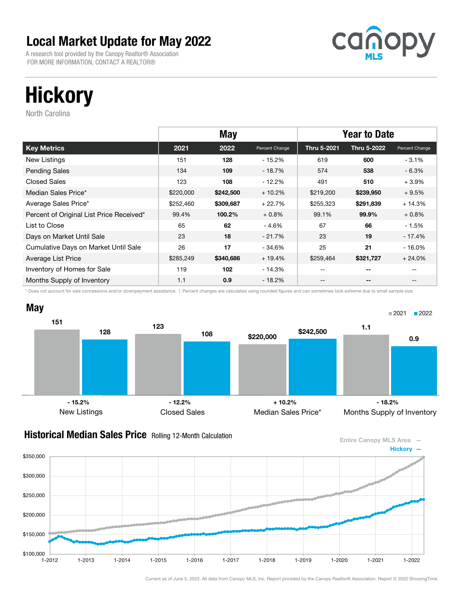A research tool provided by the Canopy Realtor® Association FOR MORE INFORMATION, CONTACT A REALTOR®



# **Hickory**

North Carolina

|                                          |           | <b>May</b> |                | <b>Year to Date</b> |             |                |
|------------------------------------------|-----------|------------|----------------|---------------------|-------------|----------------|
| <b>Key Metrics</b>                       | 2021      | 2022       | Percent Change | Thru 5-2021         | Thru 5-2022 | Percent Change |
| New Listings                             | 151       | 128        | - 15.2%        | 619                 | 600         | $-3.1\%$       |
| <b>Pending Sales</b>                     | 134       | 109        | $-18.7%$       | 574                 | 538         | $-6.3%$        |
| <b>Closed Sales</b>                      | 123       | 108        | $-12.2%$       | 491                 | 510         | $+3.9%$        |
| Median Sales Price*                      | \$220,000 | \$242,500  | $+10.2%$       | \$219,200           | \$239,950   | $+9.5%$        |
| Average Sales Price*                     | \$252,460 | \$309,687  | $+22.7%$       | \$255,323           | \$291,839   | $+14.3%$       |
| Percent of Original List Price Received* | 99.4%     | 100.2%     | $+0.8%$        | 99.1%               | 99.9%       | $+0.8%$        |
| List to Close                            | 65        | 62         | $-4.6%$        | 67                  | 66          | - 1.5%         |
| Days on Market Until Sale                | 23        | 18         | $-21.7%$       | 23                  | 19          | $-17.4%$       |
| Cumulative Days on Market Until Sale     | 26        | 17         | - 34.6%        | 25                  | 21          | $-16.0\%$      |
| Average List Price                       | \$285,249 | \$340,686  | $+19.4%$       | \$259,464           | \$321,727   | $+24.0%$       |
| Inventory of Homes for Sale              | 119       | 102        | - 14.3%        | $- -$               | $-$         |                |
| Months Supply of Inventory               | 1.1       | 0.9        | - 18.2%        | --                  | --          | $- -$          |

\* Does not account for sale concessions and/or downpayment assistance. | Percent changes are calculated using rounded figures and can sometimes look extreme due to small sample size.



Entire Canopy MLS Area — Hickory —

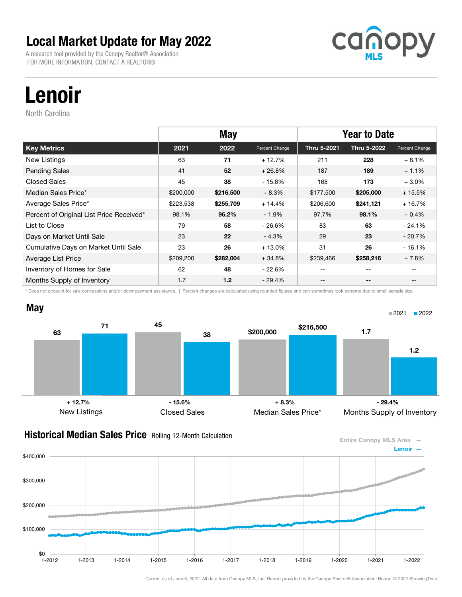A research tool provided by the Canopy Realtor® Association FOR MORE INFORMATION, CONTACT A REALTOR®



# Lenoir

North Carolina

|                                          |           | <b>May</b><br><b>Year to Date</b> |                |             |             |                |
|------------------------------------------|-----------|-----------------------------------|----------------|-------------|-------------|----------------|
| <b>Key Metrics</b>                       | 2021      | 2022                              | Percent Change | Thru 5-2021 | Thru 5-2022 | Percent Change |
| New Listings                             | 63        | 71                                | $+12.7%$       | 211         | 228         | $+8.1%$        |
| <b>Pending Sales</b>                     | 41        | 52                                | $+26.8%$       | 187         | 189         | $+1.1%$        |
| Closed Sales                             | 45        | 38                                | - 15.6%        | 168         | 173         | $+3.0%$        |
| Median Sales Price*                      | \$200,000 | \$216,500                         | $+8.3%$        | \$177,500   | \$205,000   | $+15.5%$       |
| Average Sales Price*                     | \$223,538 | \$255,709                         | $+14.4%$       | \$206,600   | \$241,121   | $+16.7%$       |
| Percent of Original List Price Received* | 98.1%     | 96.2%                             | $-1.9%$        | 97.7%       | 98.1%       | $+0.4%$        |
| List to Close                            | 79        | 58                                | - 26.6%        | 83          | 63          | $-24.1%$       |
| Days on Market Until Sale                | 23        | 22                                | $-4.3%$        | 29          | 23          | $-20.7%$       |
| Cumulative Days on Market Until Sale     | 23        | 26                                | $+13.0%$       | 31          | 26          | $-16.1%$       |
| Average List Price                       | \$209,200 | \$282,004                         | $+34.8%$       | \$239,466   | \$258,216   | $+7.8%$        |
| Inventory of Homes for Sale              | 62        | 48                                | $-22.6%$       | --          | $-$         |                |
| Months Supply of Inventory               | 1.7       | 1.2                               | $-29.4%$       | --          | --          | $- -$          |

\* Does not account for sale concessions and/or downpayment assistance. | Percent changes are calculated using rounded figures and can sometimes look extreme due to small sample size.



### **Historical Median Sales Price** Rolling 12-Month Calculation

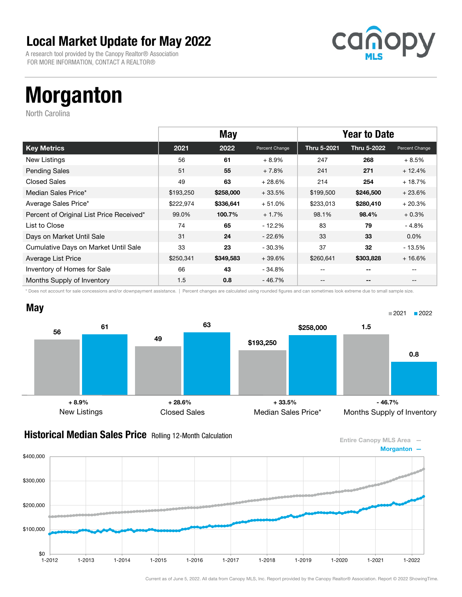A research tool provided by the Canopy Realtor® Association FOR MORE INFORMATION, CONTACT A REALTOR®



# Morganton

North Carolina

|                                          |           | <b>May</b> |                | <b>Year to Date</b> |             |                   |
|------------------------------------------|-----------|------------|----------------|---------------------|-------------|-------------------|
| <b>Key Metrics</b>                       | 2021      | 2022       | Percent Change | Thru 5-2021         | Thru 5-2022 | Percent Change    |
| New Listings                             | 56        | 61         | $+8.9%$        | 247                 | 268         | $+8.5%$           |
| <b>Pending Sales</b>                     | 51        | 55         | $+7.8%$        | 241                 | 271         | $+12.4%$          |
| <b>Closed Sales</b>                      | 49        | 63         | $+28.6%$       | 214                 | 254         | $+18.7%$          |
| Median Sales Price*                      | \$193,250 | \$258,000  | $+33.5%$       | \$199,500           | \$246,500   | $+23.6%$          |
| Average Sales Price*                     | \$222,974 | \$336,641  | $+51.0%$       | \$233,013           | \$280,410   | $+20.3%$          |
| Percent of Original List Price Received* | 99.0%     | 100.7%     | $+1.7%$        | 98.1%               | 98.4%       | $+0.3%$           |
| List to Close                            | 74        | 65         | - 12.2%        | 83                  | 79          | - 4.8%            |
| Days on Market Until Sale                | 31        | 24         | $-22.6%$       | 33                  | 33          | $0.0\%$           |
| Cumulative Days on Market Until Sale     | 33        | 23         | $-30.3%$       | 37                  | 32          | - 13.5%           |
| Average List Price                       | \$250,341 | \$349,583  | $+39.6%$       | \$260,641           | \$303,828   | $+16.6%$          |
| Inventory of Homes for Sale              | 66        | 43         | - 34.8%        | $- -$               | $-$         |                   |
| Months Supply of Inventory               | 1.5       | 0.8        | - 46.7%        | --                  | --          | $\qquad \qquad -$ |

\* Does not account for sale concessions and/or downpayment assistance. | Percent changes are calculated using rounded figures and can sometimes look extreme due to small sample size.



### **Historical Median Sales Price** Rolling 12-Month Calculation

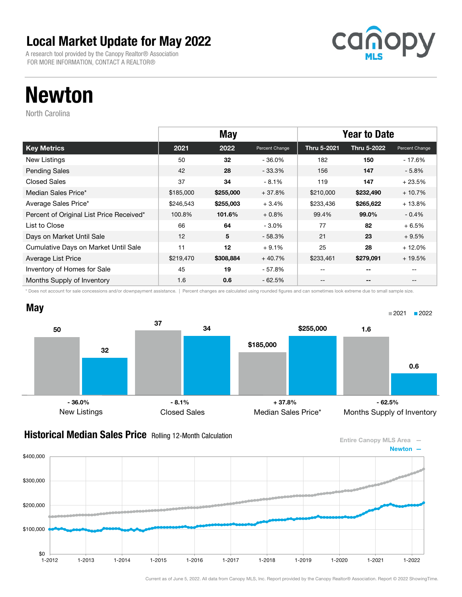A research tool provided by the Canopy Realtor® Association FOR MORE INFORMATION, CONTACT A REALTOR®



# Newton

North Carolina

|                                          |           | <b>May</b><br><b>Year to Date</b> |                |             |             |                   |
|------------------------------------------|-----------|-----------------------------------|----------------|-------------|-------------|-------------------|
| <b>Key Metrics</b>                       | 2021      | 2022                              | Percent Change | Thru 5-2021 | Thru 5-2022 | Percent Change    |
| New Listings                             | 50        | 32                                | $-36.0\%$      | 182         | 150         | - 17.6%           |
| <b>Pending Sales</b>                     | 42        | 28                                | $-33.3\%$      | 156         | 147         | $-5.8\%$          |
| <b>Closed Sales</b>                      | 37        | 34                                | $-8.1%$        | 119         | 147         | $+23.5%$          |
| Median Sales Price*                      | \$185,000 | \$255,000                         | $+37.8%$       | \$210,000   | \$232,490   | $+10.7%$          |
| Average Sales Price*                     | \$246,543 | \$255,003                         | $+3.4%$        | \$233,436   | \$265,622   | $+13.8%$          |
| Percent of Original List Price Received* | 100.8%    | 101.6%                            | $+0.8%$        | 99.4%       | 99.0%       | $-0.4%$           |
| List to Close                            | 66        | 64                                | $-3.0%$        | 77          | 82          | $+6.5%$           |
| Days on Market Until Sale                | 12        | 5                                 | $-58.3%$       | 21          | 23          | $+9.5%$           |
| Cumulative Days on Market Until Sale     | 11        | 12                                | $+9.1%$        | 25          | 28          | $+12.0%$          |
| Average List Price                       | \$219,470 | \$308,884                         | $+40.7%$       | \$233,461   | \$279,091   | $+19.5%$          |
| Inventory of Homes for Sale              | 45        | 19                                | - 57.8%        | $- -$       | $-$         |                   |
| Months Supply of Inventory               | 1.6       | 0.6                               | - 62.5%        | --          | --          | $\qquad \qquad -$ |

\* Does not account for sale concessions and/or downpayment assistance. | Percent changes are calculated using rounded figures and can sometimes look extreme due to small sample size.